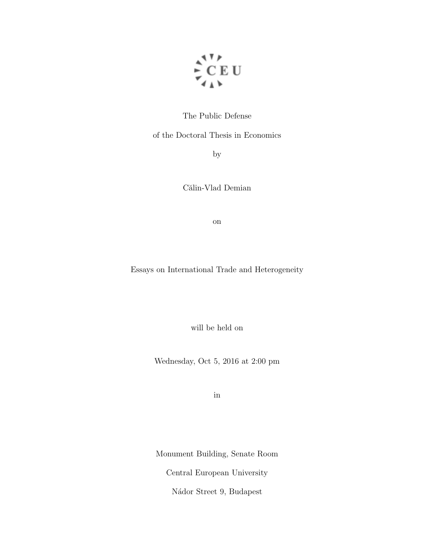

# The Public Defense

of the Doctoral Thesis in Economics

by

Călin-Vlad Demian

on

Essays on International Trade and Heterogeneity

will be held on

Wednesday, Oct 5, 2016 at 2:00 pm

in

Monument Building, Senate Room

Central European University

Nádor Street 9, Budapest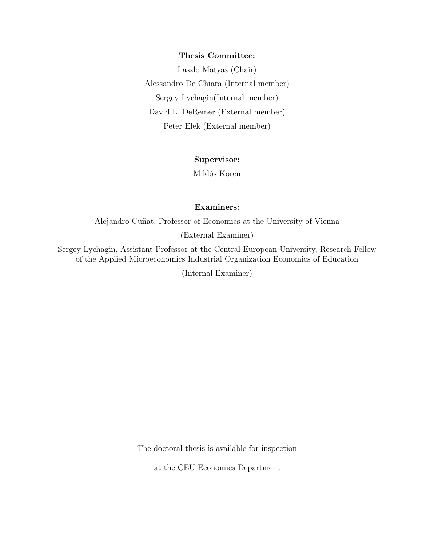#### Thesis Committee:

Laszlo Matyas (Chair) Alessandro De Chiara (Internal member) Sergey Lychagin(Internal member) David L. DeRemer (External member) Peter Elek (External member)

### Supervisor:

Miklós Koren

# Examiners:

Alejandro Cuñat, Professor of Economics at the University of Vienna

(External Examiner)

Sergey Lychagin, Assistant Professor at the Central European University, Research Fellow of the Applied Microeconomics Industrial Organization Economics of Education

(Internal Examiner)

The doctoral thesis is available for inspection

at the CEU Economics Department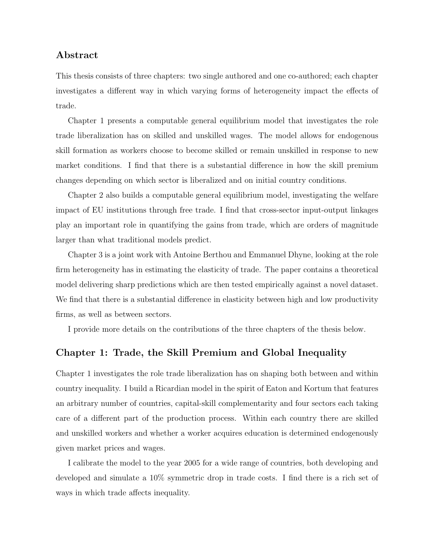# Abstract

This thesis consists of three chapters: two single authored and one co-authored; each chapter investigates a different way in which varying forms of heterogeneity impact the effects of trade.

Chapter 1 presents a computable general equilibrium model that investigates the role trade liberalization has on skilled and unskilled wages. The model allows for endogenous skill formation as workers choose to become skilled or remain unskilled in response to new market conditions. I find that there is a substantial difference in how the skill premium changes depending on which sector is liberalized and on initial country conditions.

Chapter 2 also builds a computable general equilibrium model, investigating the welfare impact of EU institutions through free trade. I find that cross-sector input-output linkages play an important role in quantifying the gains from trade, which are orders of magnitude larger than what traditional models predict.

Chapter 3 is a joint work with Antoine Berthou and Emmanuel Dhyne, looking at the role firm heterogeneity has in estimating the elasticity of trade. The paper contains a theoretical model delivering sharp predictions which are then tested empirically against a novel dataset. We find that there is a substantial difference in elasticity between high and low productivity firms, as well as between sectors.

I provide more details on the contributions of the three chapters of the thesis below.

# Chapter 1: Trade, the Skill Premium and Global Inequality

Chapter 1 investigates the role trade liberalization has on shaping both between and within country inequality. I build a Ricardian model in the spirit of Eaton and Kortum that features an arbitrary number of countries, capital-skill complementarity and four sectors each taking care of a different part of the production process. Within each country there are skilled and unskilled workers and whether a worker acquires education is determined endogenously given market prices and wages.

I calibrate the model to the year 2005 for a wide range of countries, both developing and developed and simulate a 10% symmetric drop in trade costs. I find there is a rich set of ways in which trade affects inequality.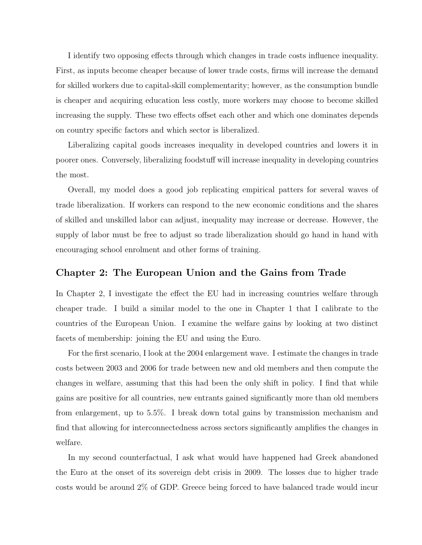I identify two opposing effects through which changes in trade costs influence inequality. First, as inputs become cheaper because of lower trade costs, firms will increase the demand for skilled workers due to capital-skill complementarity; however, as the consumption bundle is cheaper and acquiring education less costly, more workers may choose to become skilled increasing the supply. These two effects offset each other and which one dominates depends on country specific factors and which sector is liberalized.

Liberalizing capital goods increases inequality in developed countries and lowers it in poorer ones. Conversely, liberalizing foodstuff will increase inequality in developing countries the most.

Overall, my model does a good job replicating empirical patters for several waves of trade liberalization. If workers can respond to the new economic conditions and the shares of skilled and unskilled labor can adjust, inequality may increase or decrease. However, the supply of labor must be free to adjust so trade liberalization should go hand in hand with encouraging school enrolment and other forms of training.

# Chapter 2: The European Union and the Gains from Trade

In Chapter 2, I investigate the effect the EU had in increasing countries welfare through cheaper trade. I build a similar model to the one in Chapter 1 that I calibrate to the countries of the European Union. I examine the welfare gains by looking at two distinct facets of membership: joining the EU and using the Euro.

For the first scenario, I look at the 2004 enlargement wave. I estimate the changes in trade costs between 2003 and 2006 for trade between new and old members and then compute the changes in welfare, assuming that this had been the only shift in policy. I find that while gains are positive for all countries, new entrants gained significantly more than old members from enlargement, up to 5.5%. I break down total gains by transmission mechanism and find that allowing for interconnectedness across sectors significantly amplifies the changes in welfare.

In my second counterfactual, I ask what would have happened had Greek abandoned the Euro at the onset of its sovereign debt crisis in 2009. The losses due to higher trade costs would be around 2% of GDP. Greece being forced to have balanced trade would incur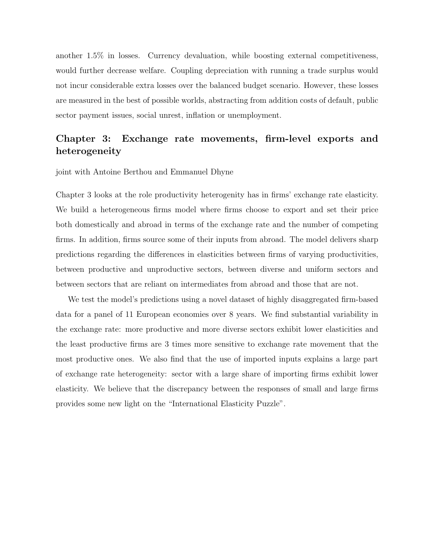another 1.5% in losses. Currency devaluation, while boosting external competitiveness, would further decrease welfare. Coupling depreciation with running a trade surplus would not incur considerable extra losses over the balanced budget scenario. However, these losses are measured in the best of possible worlds, abstracting from addition costs of default, public sector payment issues, social unrest, inflation or unemployment.

# Chapter 3: Exchange rate movements, firm-level exports and heterogeneity

joint with Antoine Berthou and Emmanuel Dhyne

Chapter 3 looks at the role productivity heterogenity has in firms' exchange rate elasticity. We build a heterogeneous firms model where firms choose to export and set their price both domestically and abroad in terms of the exchange rate and the number of competing firms. In addition, firms source some of their inputs from abroad. The model delivers sharp predictions regarding the differences in elasticities between firms of varying productivities, between productive and unproductive sectors, between diverse and uniform sectors and between sectors that are reliant on intermediates from abroad and those that are not.

We test the model's predictions using a novel dataset of highly disaggregated firm-based data for a panel of 11 European economies over 8 years. We find substantial variability in the exchange rate: more productive and more diverse sectors exhibit lower elasticities and the least productive firms are 3 times more sensitive to exchange rate movement that the most productive ones. We also find that the use of imported inputs explains a large part of exchange rate heterogeneity: sector with a large share of importing firms exhibit lower elasticity. We believe that the discrepancy between the responses of small and large firms provides some new light on the "International Elasticity Puzzle".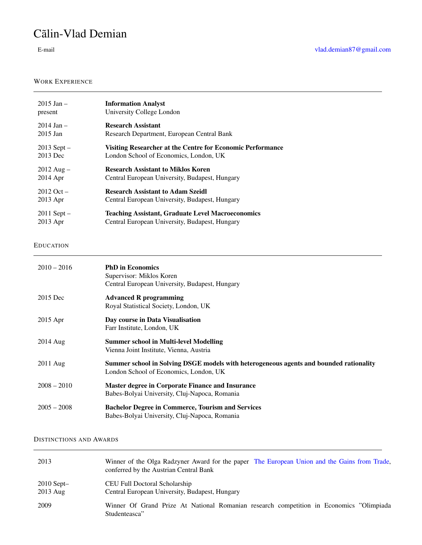# Cãlin-Vlad Demian

### WORK EXPERIENCE

| $2015$ Jan $-$       | <b>Information Analyst</b>                                 |
|----------------------|------------------------------------------------------------|
| present              | University College London                                  |
| $2014$ Jan $-$       | <b>Research Assistant</b>                                  |
| $2015$ Jan           | Research Department, European Central Bank                 |
| $2013$ Sept $-$      | Visiting Researcher at the Centre for Economic Performance |
| 2013 Dec             | London School of Economics, London, UK                     |
| $2012 \text{ Aug} -$ | <b>Research Assistant to Miklos Koren</b>                  |
| $2014$ Apr           | Central European University, Budapest, Hungary             |
| $2012$ Oct $-$       | <b>Research Assistant to Adam Szeidl</b>                   |
| $2013$ Apr           | Central European University, Budapest, Hungary             |
| $2011$ Sept $-$      | <b>Teaching Assistant, Graduate Level Macroeconomics</b>   |
| $2013$ Apr           | Central European University, Budapest, Hungary             |

#### EDUCATION

| $2010 - 2016$      | <b>PhD</b> in Economics<br>Supervisor: Miklos Koren<br>Central European University, Budapest, Hungary                            |
|--------------------|----------------------------------------------------------------------------------------------------------------------------------|
| 2015 Dec           | <b>Advanced R programming</b><br>Royal Statistical Society, London, UK                                                           |
| $2015$ Apr         | Day course in Data Visualisation<br>Farr Institute, London, UK                                                                   |
| $2014 \text{ Aug}$ | <b>Summer school in Multi-level Modelling</b><br>Vienna Joint Institute, Vienna, Austria                                         |
| 2011 Aug           | Summer school in Solving DSGE models with heterogeneous agents and bounded rationality<br>London School of Economics, London, UK |
| $2008 - 2010$      | <b>Master degree in Corporate Finance and Insurance</b><br>Babes-Bolyai University, Cluj-Napoca, Romania                         |
| $2005 - 2008$      | <b>Bachelor Degree in Commerce, Tourism and Services</b><br>Babes-Bolyai University, Cluj-Napoca, Romania                        |

#### DISTINCTIONS AND AWARDS

| 2013                       | Winner of the Olga Radzyner Award for the paper The European Union and the Gains from Trade,<br>conferred by the Austrian Central Bank |
|----------------------------|----------------------------------------------------------------------------------------------------------------------------------------|
| $2010$ Sept-<br>$2013$ Aug | CEU Full Doctoral Scholarship<br>Central European University, Budapest, Hungary                                                        |
| 2009                       | Winner Of Grand Prize At National Romanian research competition in Economics "Olimpiada"<br>Studenteasca"                              |